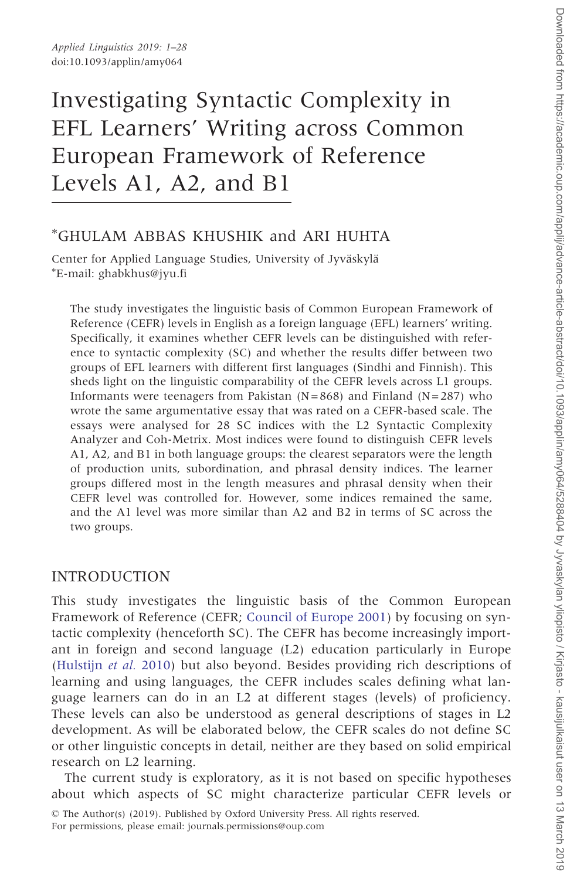# Investigating Syntactic Complexity in EFL Learners' Writing across Common European Framework of Reference Levels A1, A2, and B1

## - GHULAM ABBAS KHUSHIK and ARI HUHTA

Center for Applied Language Studies, University of Jyväskylä E-mail: ghabkhus@jyu.fi

The study investigates the linguistic basis of Common European Framework of Reference (CEFR) levels in English as a foreign language (EFL) learners' writing. Specifically, it examines whether CEFR levels can be distinguished with reference to syntactic complexity (SC) and whether the results differ between two groups of EFL learners with different first languages (Sindhi and Finnish). This sheds light on the linguistic comparability of the CEFR levels across L1 groups. Informants were teenagers from Pakistan  $(N=868)$  and Finland  $(N=287)$  who wrote the same argumentative essay that was rated on a CEFR-based scale. The essays were analysed for 28 SC indices with the L2 Syntactic Complexity Analyzer and Coh-Metrix. Most indices were found to distinguish CEFR levels A1, A2, and B1 in both language groups: the clearest separators were the length of production units, subordination, and phrasal density indices. The learner groups differed most in the length measures and phrasal density when their CEFR level was controlled for. However, some indices remained the same, and the A1 level was more similar than A2 and B2 in terms of SC across the two groups.

#### INTRODUCTION

This study investigates the linguistic basis of the Common European Framework of Reference (CEFR; [Council of Europe 2001\)](#page-24-0) by focusing on syntactic complexity (henceforth SC). The CEFR has become increasingly important in foreign and second language (L2) education particularly in Europe ([Hulstijn](#page-25-0) et al. 2010) but also beyond. Besides providing rich descriptions of learning and using languages, the CEFR includes scales defining what language learners can do in an L2 at different stages (levels) of proficiency. These levels can also be understood as general descriptions of stages in L2 development. As will be elaborated below, the CEFR scales do not define SC or other linguistic concepts in detail, neither are they based on solid empirical research on L2 learning.

The current study is exploratory, as it is not based on specific hypotheses about which aspects of SC might characterize particular CEFR levels or

<sup>©</sup> The Author(s) (2019). Published by Oxford University Press. All rights reserved. For permissions, please email: journals.permissions@oup.com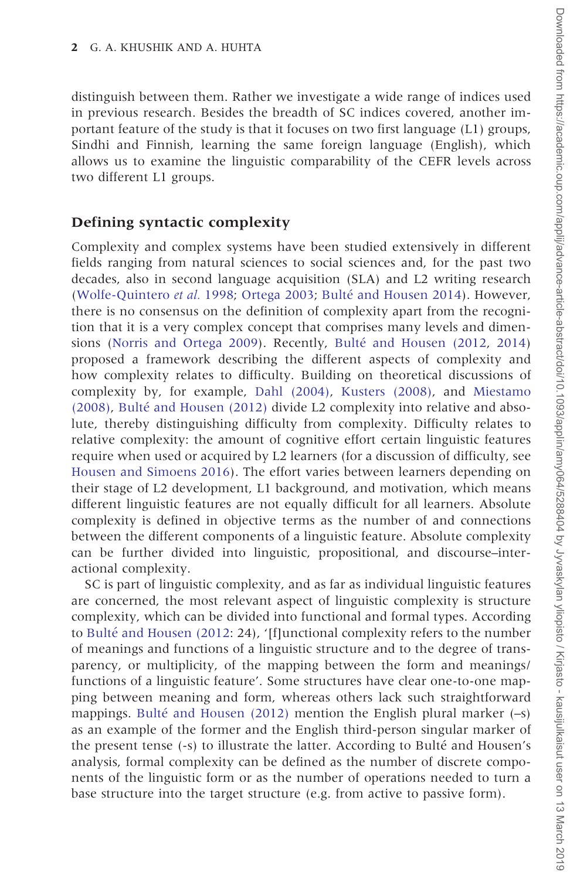distinguish between them. Rather we investigate a wide range of indices used in previous research. Besides the breadth of SC indices covered, another important feature of the study is that it focuses on two first language (L1) groups, Sindhi and Finnish, learning the same foreign language (English), which allows us to examine the linguistic comparability of the CEFR levels across two different L1 groups.

#### Defining syntactic complexity

Complexity and complex systems have been studied extensively in different fields ranging from natural sciences to social sciences and, for the past two decades, also in second language acquisition (SLA) and L2 writing research ([Wolfe-Quintero](#page-26-0) et al. 1998; [Ortega 2003;](#page-25-0) Bulté [and Housen 2014](#page-24-0)). However, there is no consensus on the definition of complexity apart from the recognition that it is a very complex concept that comprises many levels and dimen-sions ([Norris and Ortega 2009](#page-25-0)). Recently, Bulté [and Housen \(2012,](#page-24-0) [2014\)](#page-24-0) proposed a framework describing the different aspects of complexity and how complexity relates to difficulty. Building on theoretical discussions of complexity by, for example, [Dahl \(2004\),](#page-24-0) [Kusters \(2008\),](#page-25-0) and [Miestamo](#page-25-0)  $(2008)$ , Bulté and Housen  $(2012)$  divide L2 complexity into relative and absolute, thereby distinguishing difficulty from complexity. Difficulty relates to relative complexity: the amount of cognitive effort certain linguistic features require when used or acquired by L2 learners (for a discussion of difficulty, see [Housen and Simoens 2016](#page-24-0)). The effort varies between learners depending on their stage of L2 development, L1 background, and motivation, which means different linguistic features are not equally difficult for all learners. Absolute complexity is defined in objective terms as the number of and connections between the different components of a linguistic feature. Absolute complexity can be further divided into linguistic, propositional, and discourse–interactional complexity.

SC is part of linguistic complexity, and as far as individual linguistic features are concerned, the most relevant aspect of linguistic complexity is structure complexity, which can be divided into functional and formal types. According to Bulté [and Housen \(2012](#page-24-0): 24), '[f]unctional complexity refers to the number of meanings and functions of a linguistic structure and to the degree of transparency, or multiplicity, of the mapping between the form and meanings/ functions of a linguistic feature'. Some structures have clear one-to-one mapping between meaning and form, whereas others lack such straightforward mappings. Bulté [and Housen \(2012\)](#page-24-0) mention the English plural marker  $(-s)$ as an example of the former and the English third-person singular marker of the present tense (-s) to illustrate the latter. According to Bulté and Housen's analysis, formal complexity can be defined as the number of discrete components of the linguistic form or as the number of operations needed to turn a base structure into the target structure (e.g. from active to passive form).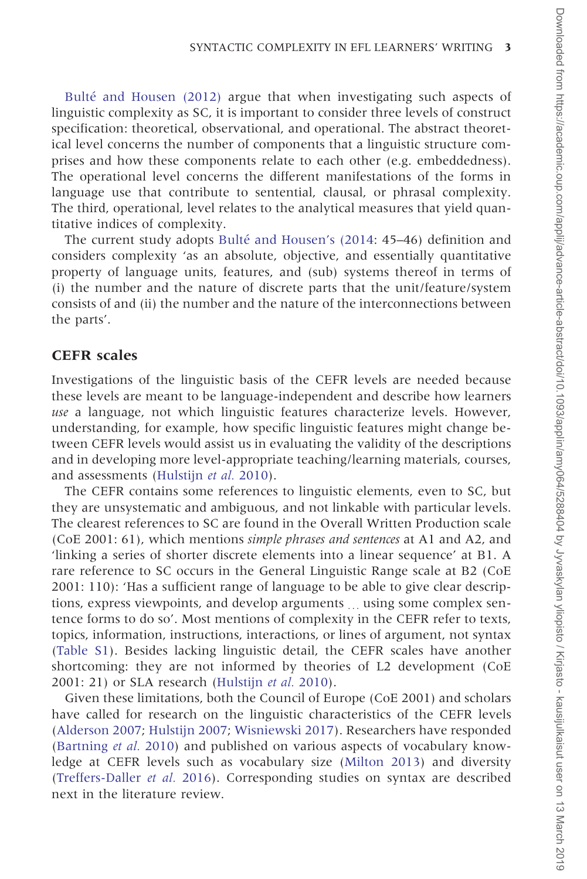Bulté [and Housen \(2012\)](#page-24-0) argue that when investigating such aspects of linguistic complexity as SC, it is important to consider three levels of construct specification: theoretical, observational, and operational. The abstract theoretical level concerns the number of components that a linguistic structure comprises and how these components relate to each other (e.g. embeddedness). The operational level concerns the different manifestations of the forms in language use that contribute to sentential, clausal, or phrasal complexity. The third, operational, level relates to the analytical measures that yield quantitative indices of complexity.

The current study adopts Bulté [and Housen's \(2014:](#page-24-0) 45–46) definition and considers complexity 'as an absolute, objective, and essentially quantitative property of language units, features, and (sub) systems thereof in terms of (i) the number and the nature of discrete parts that the unit/feature/system consists of and (ii) the number and the nature of the interconnections between the parts'.

#### CEFR scales

Investigations of the linguistic basis of the CEFR levels are needed because these levels are meant to be language-independent and describe how learners use a language, not which linguistic features characterize levels. However, understanding, for example, how specific linguistic features might change between CEFR levels would assist us in evaluating the validity of the descriptions and in developing more level-appropriate teaching/learning materials, courses, and assessments [\(Hulstijn](#page-25-0) et al. 2010).

The CEFR contains some references to linguistic elements, even to SC, but they are unsystematic and ambiguous, and not linkable with particular levels. The clearest references to SC are found in the Overall Written Production scale (CoE 2001: 61), which mentions simple phrases and sentences at A1 and A2, and 'linking a series of shorter discrete elements into a linear sequence' at B1. A rare reference to SC occurs in the General Linguistic Range scale at B2 (CoE 2001: 110): 'Has a sufficient range of language to be able to give clear descriptions, express viewpoints, and develop arguments ... using some complex sentence forms to do so'. Most mentions of complexity in the CEFR refer to texts, topics, information, instructions, interactions, or lines of argument, not syntax ([Table S1](https://academic.oup.com/applij/article-lookup/doi/10.1093/applin/amy064#supplementary-data)). Besides lacking linguistic detail, the CEFR scales have another shortcoming: they are not informed by theories of L2 development (CoE 2001: 21) or SLA research ([Hulstijn](#page-25-0) et al. 2010).

Given these limitations, both the Council of Europe (CoE 2001) and scholars have called for research on the linguistic characteristics of the CEFR levels ([Alderson 2007;](#page-24-0) [Hulstijn 2007](#page-25-0); [Wisniewski 2017\)](#page-26-0). Researchers have responded ([Bartning](#page-24-0) et al. 2010) and published on various aspects of vocabulary knowledge at CEFR levels such as vocabulary size ([Milton 2013\)](#page-25-0) and diversity ([Treffers-Daller](#page-25-0) et al. 2016). Corresponding studies on syntax are described next in the literature review.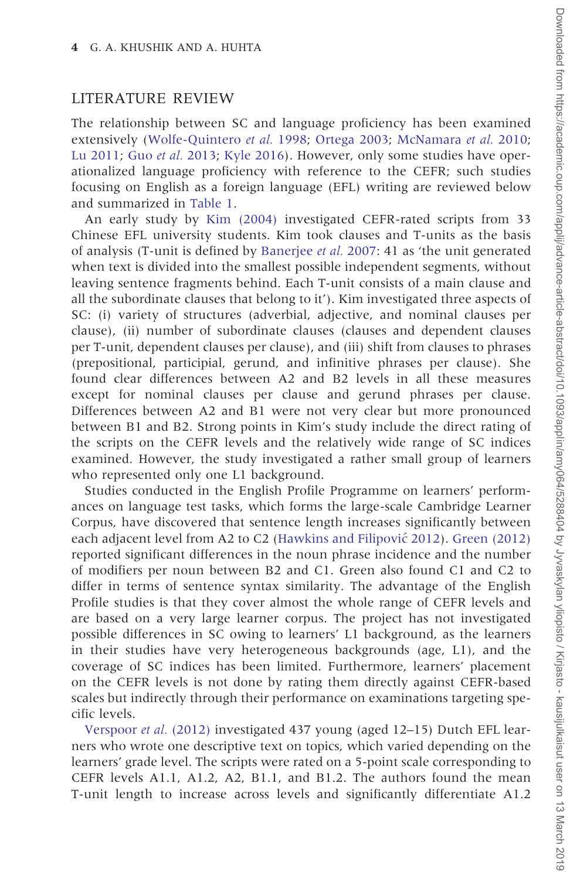#### LITERATURE REVIEW

The relationship between SC and language proficiency has been examined extensively [\(Wolfe-Quintero](#page-26-0) et al. 1998; [Ortega 2003](#page-25-0); [McNamara](#page-25-0) et al. 2010; [Lu 2011](#page-25-0); Guo et al. [2013](#page-24-0); [Kyle 2016](#page-25-0)). However, only some studies have operationalized language proficiency with reference to the CEFR; such studies focusing on English as a foreign language (EFL) writing are reviewed below and summarized in [Table 1.](#page-4-0)

An early study by [Kim \(2004\)](#page-25-0) investigated CEFR-rated scripts from 33 Chinese EFL university students. Kim took clauses and T-units as the basis of analysis (T-unit is defined by [Banerjee](#page-24-0) et al. 2007: 41 as 'the unit generated when text is divided into the smallest possible independent segments, without leaving sentence fragments behind. Each T-unit consists of a main clause and all the subordinate clauses that belong to it'). Kim investigated three aspects of SC: (i) variety of structures (adverbial, adjective, and nominal clauses per clause), (ii) number of subordinate clauses (clauses and dependent clauses per T-unit, dependent clauses per clause), and (iii) shift from clauses to phrases (prepositional, participial, gerund, and infinitive phrases per clause). She found clear differences between A2 and B2 levels in all these measures except for nominal clauses per clause and gerund phrases per clause. Differences between A2 and B1 were not very clear but more pronounced between B1 and B2. Strong points in Kim's study include the direct rating of the scripts on the CEFR levels and the relatively wide range of SC indices examined. However, the study investigated a rather small group of learners who represented only one L1 background.

Studies conducted in the English Profile Programme on learners' performances on language test tasks, which forms the large-scale Cambridge Learner Corpus, have discovered that sentence length increases significantly between each adjacent level from A2 to C2 (Hawkins and Filipović 2012). [Green \(2012\)](#page-24-0) reported significant differences in the noun phrase incidence and the number of modifiers per noun between B2 and C1. Green also found C1 and C2 to differ in terms of sentence syntax similarity. The advantage of the English Profile studies is that they cover almost the whole range of CEFR levels and are based on a very large learner corpus. The project has not investigated possible differences in SC owing to learners' L1 background, as the learners in their studies have very heterogeneous backgrounds (age, L1), and the coverage of SC indices has been limited. Furthermore, learners' placement on the CEFR levels is not done by rating them directly against CEFR-based scales but indirectly through their performance on examinations targeting specific levels.

[Verspoor](#page-25-0) et al. (2012) investigated 437 young (aged 12–15) Dutch EFL learners who wrote one descriptive text on topics, which varied depending on the learners' grade level. The scripts were rated on a 5-point scale corresponding to CEFR levels A1.1, A1.2, A2, B1.1, and B1.2. The authors found the mean T-unit length to increase across levels and significantly differentiate A1.2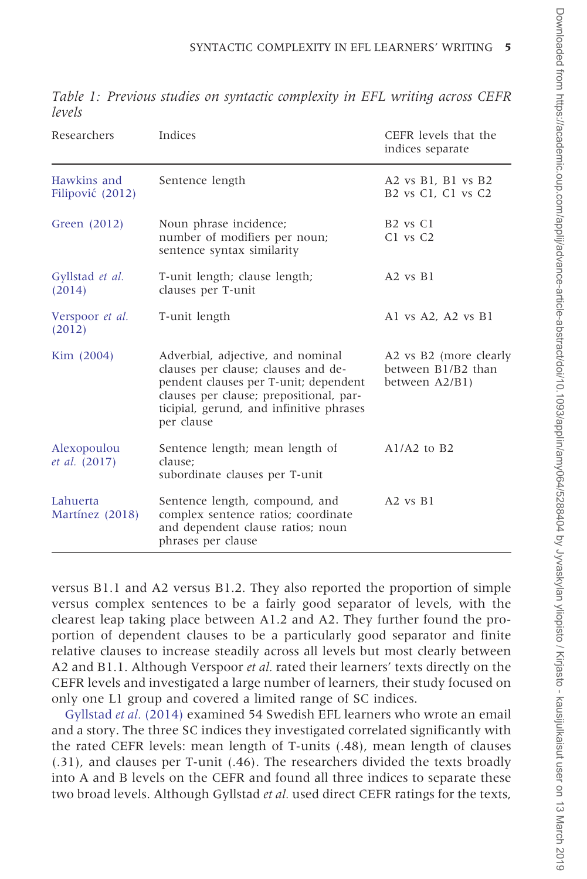| Researchers                     | Indices                                                                                                                                                                                                                | CEFR levels that the<br>indices separate                                                  |
|---------------------------------|------------------------------------------------------------------------------------------------------------------------------------------------------------------------------------------------------------------------|-------------------------------------------------------------------------------------------|
| Hawkins and<br>Filipović (2012) | Sentence length                                                                                                                                                                                                        | A2 vs B1, B1 vs B2<br>B <sub>2</sub> vs C <sub>1</sub> , C <sub>1</sub> vs C <sub>2</sub> |
| Green (2012)                    | Noun phrase incidence;<br>number of modifiers per noun;<br>sentence syntax similarity                                                                                                                                  | B <sub>2</sub> vs C <sub>1</sub><br>C1 vs C2                                              |
| Gyllstad et al.<br>(2014)       | T-unit length; clause length;<br>clauses per T-unit                                                                                                                                                                    | $A2$ vs $B1$                                                                              |
| Verspoor et al.<br>(2012)       | T-unit length                                                                                                                                                                                                          | Al vs $A2$ , $A2$ vs $B1$                                                                 |
| Kim (2004)                      | Adverbial, adjective, and nominal<br>clauses per clause; clauses and de-<br>pendent clauses per T-unit; dependent<br>clauses per clause; prepositional, par-<br>ticipial, gerund, and infinitive phrases<br>per clause | A2 vs B2 (more clearly<br>between B1/B2 than<br>between A2/B1)                            |
| Alexopoulou<br>et al. (2017)    | Sentence length; mean length of<br>clause:<br>subordinate clauses per T-unit                                                                                                                                           | $A1/A2$ to B2                                                                             |
| Lahuerta<br>Martínez (2018)     | Sentence length, compound, and<br>complex sentence ratios; coordinate<br>and dependent clause ratios; noun<br>phrases per clause                                                                                       | $A2$ vs $B1$                                                                              |

<span id="page-4-0"></span>Table 1: Previous studies on syntactic complexity in EFL writing across CEFR levels

versus B1.1 and A2 versus B1.2. They also reported the proportion of simple versus complex sentences to be a fairly good separator of levels, with the clearest leap taking place between A1.2 and A2. They further found the proportion of dependent clauses to be a particularly good separator and finite relative clauses to increase steadily across all levels but most clearly between A2 and B1.1. Although Verspoor *et al.* rated their learners' texts directly on the CEFR levels and investigated a large number of learners, their study focused on only one L1 group and covered a limited range of SC indices.

[Gyllstad](#page-24-0) et al. (2014) examined 54 Swedish EFL learners who wrote an email and a story. The three SC indices they investigated correlated significantly with the rated CEFR levels: mean length of T-units (.48), mean length of clauses (.31), and clauses per T-unit (.46). The researchers divided the texts broadly into A and B levels on the CEFR and found all three indices to separate these two broad levels. Although Gyllstad et al. used direct CEFR ratings for the texts,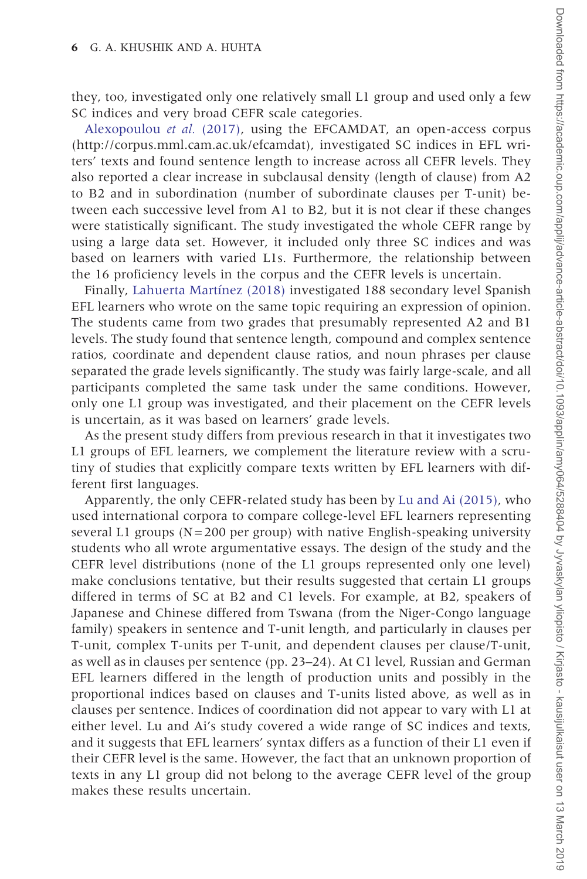they, too, investigated only one relatively small L1 group and used only a few SC indices and very broad CEFR scale categories.

[Alexopoulou](#page-24-0) et al. (2017), using the EFCAMDAT, an open-access corpus ([http://corpus.mml.cam.ac.uk/efcamdat\)](http://corpus.mml.cam.ac.uk/efcamdat), investigated SC indices in EFL writers' texts and found sentence length to increase across all CEFR levels. They also reported a clear increase in subclausal density (length of clause) from A2 to B2 and in subordination (number of subordinate clauses per T-unit) between each successive level from A1 to B2, but it is not clear if these changes were statistically significant. The study investigated the whole CEFR range by using a large data set. However, it included only three SC indices and was based on learners with varied L1s. Furthermore, the relationship between the 16 proficiency levels in the corpus and the CEFR levels is uncertain.

Finally, Lahuerta Martínez (2018) investigated 188 secondary level Spanish EFL learners who wrote on the same topic requiring an expression of opinion. The students came from two grades that presumably represented A2 and B1 levels. The study found that sentence length, compound and complex sentence ratios, coordinate and dependent clause ratios, and noun phrases per clause separated the grade levels significantly. The study was fairly large-scale, and all participants completed the same task under the same conditions. However, only one L1 group was investigated, and their placement on the CEFR levels is uncertain, as it was based on learners' grade levels.

As the present study differs from previous research in that it investigates two L1 groups of EFL learners, we complement the literature review with a scrutiny of studies that explicitly compare texts written by EFL learners with different first languages.

Apparently, the only CEFR-related study has been by [Lu and Ai \(2015\),](#page-25-0) who used international corpora to compare college-level EFL learners representing several L1 groups ( $N=200$  per group) with native English-speaking university students who all wrote argumentative essays. The design of the study and the CEFR level distributions (none of the L1 groups represented only one level) make conclusions tentative, but their results suggested that certain L1 groups differed in terms of SC at B2 and C1 levels. For example, at B2, speakers of Japanese and Chinese differed from Tswana (from the Niger-Congo language family) speakers in sentence and T-unit length, and particularly in clauses per T-unit, complex T-units per T-unit, and dependent clauses per clause/T-unit, as well as in clauses per sentence (pp. 23–24). At C1 level, Russian and German EFL learners differed in the length of production units and possibly in the proportional indices based on clauses and T-units listed above, as well as in clauses per sentence. Indices of coordination did not appear to vary with L1 at either level. Lu and Ai's study covered a wide range of SC indices and texts, and it suggests that EFL learners' syntax differs as a function of their L1 even if their CEFR level is the same. However, the fact that an unknown proportion of texts in any L1 group did not belong to the average CEFR level of the group makes these results uncertain.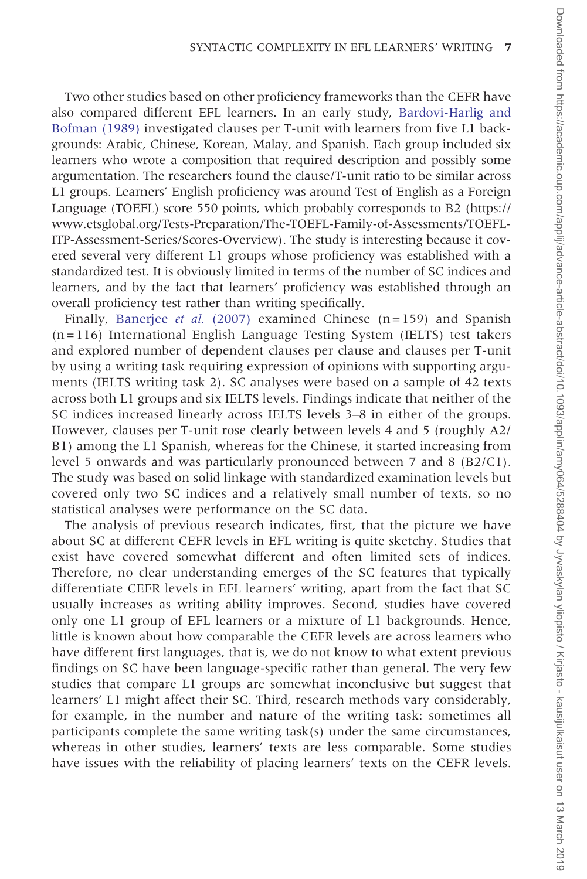Two other studies based on other proficiency frameworks than the CEFR have also compared different EFL learners. In an early study, [Bardovi-Harlig and](#page-24-0) [Bofman \(1989\)](#page-24-0) investigated clauses per T-unit with learners from five L1 backgrounds: Arabic, Chinese, Korean, Malay, and Spanish. Each group included six learners who wrote a composition that required description and possibly some argumentation. The researchers found the clause/T-unit ratio to be similar across L1 groups. Learners' English proficiency was around Test of English as a Foreign Language (TOEFL) score 550 points, which probably corresponds to B2 [\(https://](https://www.etsglobal.org/Tests-Preparation/The-TOEFL-Family-of-Assessments/TOEFL-ITP-Assessment-Series/Scores-Overview) [www.etsglobal.org/Tests-Preparation/The-TOEFL-Family-of-Assessments/TOEFL-](https://www.etsglobal.org/Tests-Preparation/The-TOEFL-Family-of-Assessments/TOEFL-ITP-Assessment-Series/Scores-Overview)[ITP-Assessment-Series/Scores-Overview](https://www.etsglobal.org/Tests-Preparation/The-TOEFL-Family-of-Assessments/TOEFL-ITP-Assessment-Series/Scores-Overview)). The study is interesting because it covered several very different L1 groups whose proficiency was established with a standardized test. It is obviously limited in terms of the number of SC indices and learners, and by the fact that learners' proficiency was established through an overall proficiency test rather than writing specifically.

Finally, [Banerjee](#page-24-0) et al. (2007) examined Chinese  $(n=159)$  and Spanish (n=116) International English Language Testing System (IELTS) test takers and explored number of dependent clauses per clause and clauses per T-unit by using a writing task requiring expression of opinions with supporting arguments (IELTS writing task 2). SC analyses were based on a sample of 42 texts across both L1 groups and six IELTS levels. Findings indicate that neither of the SC indices increased linearly across IELTS levels 3–8 in either of the groups. However, clauses per T-unit rose clearly between levels 4 and 5 (roughly A2/ B1) among the L1 Spanish, whereas for the Chinese, it started increasing from level 5 onwards and was particularly pronounced between 7 and 8 (B2/C1). The study was based on solid linkage with standardized examination levels but covered only two SC indices and a relatively small number of texts, so no statistical analyses were performance on the SC data.

The analysis of previous research indicates, first, that the picture we have about SC at different CEFR levels in EFL writing is quite sketchy. Studies that exist have covered somewhat different and often limited sets of indices. Therefore, no clear understanding emerges of the SC features that typically differentiate CEFR levels in EFL learners' writing, apart from the fact that SC usually increases as writing ability improves. Second, studies have covered only one L1 group of EFL learners or a mixture of L1 backgrounds. Hence, little is known about how comparable the CEFR levels are across learners who have different first languages, that is, we do not know to what extent previous findings on SC have been language-specific rather than general. The very few studies that compare L1 groups are somewhat inconclusive but suggest that learners' L1 might affect their SC. Third, research methods vary considerably, for example, in the number and nature of the writing task: sometimes all participants complete the same writing task(s) under the same circumstances, whereas in other studies, learners' texts are less comparable. Some studies have issues with the reliability of placing learners' texts on the CEFR levels.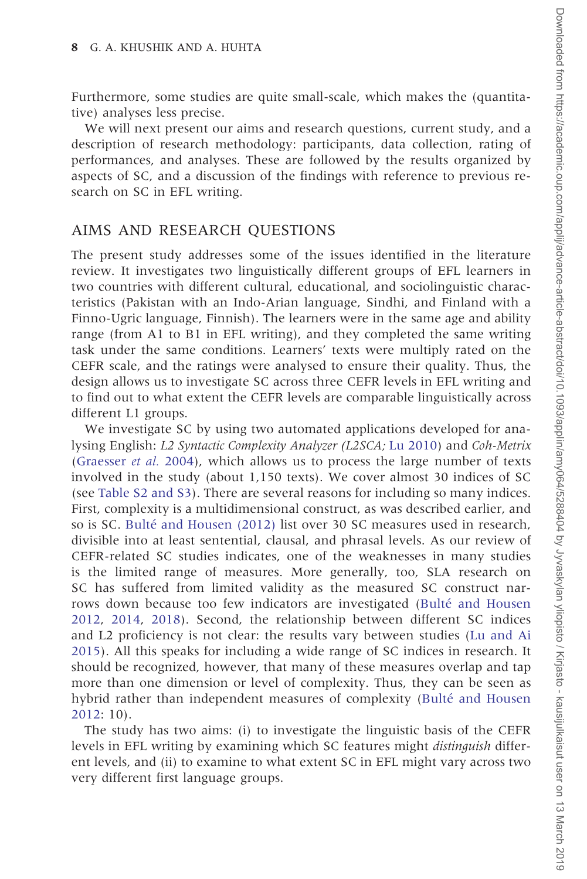Furthermore, some studies are quite small-scale, which makes the (quantitative) analyses less precise.

We will next present our aims and research questions, current study, and a description of research methodology: participants, data collection, rating of performances, and analyses. These are followed by the results organized by aspects of SC, and a discussion of the findings with reference to previous research on SC in EFL writing.

#### AIMS AND RESEARCH QUESTIONS

The present study addresses some of the issues identified in the literature review. It investigates two linguistically different groups of EFL learners in two countries with different cultural, educational, and sociolinguistic characteristics (Pakistan with an Indo-Arian language, Sindhi, and Finland with a Finno-Ugric language, Finnish). The learners were in the same age and ability range (from A1 to B1 in EFL writing), and they completed the same writing task under the same conditions. Learners' texts were multiply rated on the CEFR scale, and the ratings were analysed to ensure their quality. Thus, the design allows us to investigate SC across three CEFR levels in EFL writing and to find out to what extent the CEFR levels are comparable linguistically across different L1 groups.

We investigate SC by using two automated applications developed for analysing English: L2 Syntactic Complexity Analyzer (L2SCA; [Lu 2010\)](#page-25-0) and Coh-Metrix ([Graesser](#page-24-0) et al. 2004), which allows us to process the large number of texts involved in the study (about 1,150 texts). We cover almost 30 indices of SC (see [Table S2 and S3](https://academic.oup.com/applij/article-lookup/doi/10.1093/applin/amy064#supplementary-data)). There are several reasons for including so many indices. First, complexity is a multidimensional construct, as was described earlier, and so is SC. Bulté [and Housen \(2012\)](#page-24-0) list over 30 SC measures used in research, divisible into at least sentential, clausal, and phrasal levels. As our review of CEFR-related SC studies indicates, one of the weaknesses in many studies is the limited range of measures. More generally, too, SLA research on SC has suffered from limited validity as the measured SC construct narrows down because too few indicators are investigated (Bulté [and Housen](#page-24-0) [2012,](#page-24-0) [2014,](#page-24-0) [2018](#page-24-0)). Second, the relationship between different SC indices and L2 proficiency is not clear: the results vary between studies [\(Lu and Ai](#page-25-0) [2015\)](#page-25-0). All this speaks for including a wide range of SC indices in research. It should be recognized, however, that many of these measures overlap and tap more than one dimension or level of complexity. Thus, they can be seen as hybrid rather than independent measures of complexity (Bulté [and Housen](#page-24-0) [2012:](#page-24-0) 10).

The study has two aims: (i) to investigate the linguistic basis of the CEFR levels in EFL writing by examining which SC features might distinguish different levels, and (ii) to examine to what extent SC in EFL might vary across two very different first language groups.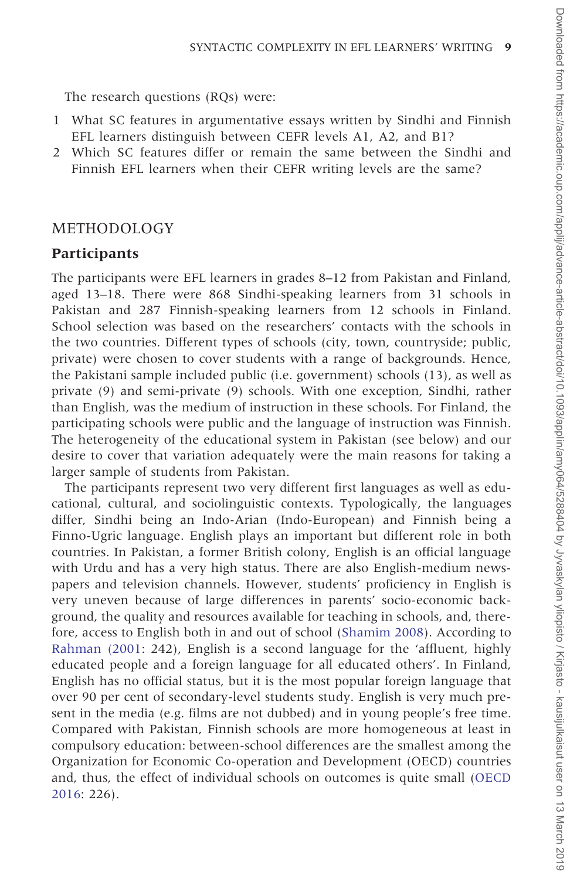The research questions (RQs) were:

- 1 What SC features in argumentative essays written by Sindhi and Finnish EFL learners distinguish between CEFR levels A1, A2, and B1?
- 2 Which SC features differ or remain the same between the Sindhi and Finnish EFL learners when their CEFR writing levels are the same?

#### METHODOLOGY

#### **Participants**

The participants were EFL learners in grades 8–12 from Pakistan and Finland, aged 13–18. There were 868 Sindhi-speaking learners from 31 schools in Pakistan and 287 Finnish-speaking learners from 12 schools in Finland. School selection was based on the researchers' contacts with the schools in the two countries. Different types of schools (city, town, countryside; public, private) were chosen to cover students with a range of backgrounds. Hence, the Pakistani sample included public (i.e. government) schools (13), as well as private (9) and semi-private (9) schools. With one exception, Sindhi, rather than English, was the medium of instruction in these schools. For Finland, the participating schools were public and the language of instruction was Finnish. The heterogeneity of the educational system in Pakistan (see below) and our desire to cover that variation adequately were the main reasons for taking a larger sample of students from Pakistan.

The participants represent two very different first languages as well as educational, cultural, and sociolinguistic contexts. Typologically, the languages differ, Sindhi being an Indo-Arian (Indo-European) and Finnish being a Finno-Ugric language. English plays an important but different role in both countries. In Pakistan, a former British colony, English is an official language with Urdu and has a very high status. There are also English-medium newspapers and television channels. However, students' proficiency in English is very uneven because of large differences in parents' socio-economic background, the quality and resources available for teaching in schools, and, therefore, access to English both in and out of school ([Shamim 2008\)](#page-25-0). According to [Rahman \(2001:](#page-25-0) 242), English is a second language for the 'affluent, highly educated people and a foreign language for all educated others'. In Finland, English has no official status, but it is the most popular foreign language that over 90 per cent of secondary-level students study. English is very much present in the media (e.g. films are not dubbed) and in young people's free time. Compared with Pakistan, Finnish schools are more homogeneous at least in compulsory education: between-school differences are the smallest among the Organization for Economic Co-operation and Development (OECD) countries and, thus, the effect of individual schools on outcomes is quite small [\(OECD](#page-25-0) [2016:](#page-25-0) 226).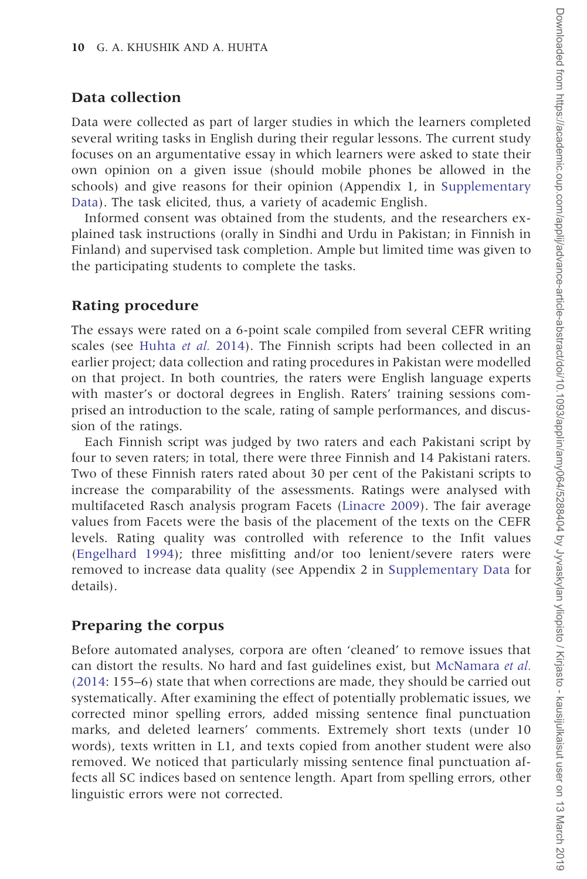### Data collection

Data were collected as part of larger studies in which the learners completed several writing tasks in English during their regular lessons. The current study focuses on an argumentative essay in which learners were asked to state their own opinion on a given issue (should mobile phones be allowed in the schools) and give reasons for their opinion (Appendix 1, in [Supplementary](https://academic.oup.com/applij/article-lookup/doi/10.1093/applin/amy064#supplementary-data) [Data](https://academic.oup.com/applij/article-lookup/doi/10.1093/applin/amy064#supplementary-data)). The task elicited, thus, a variety of academic English.

Informed consent was obtained from the students, and the researchers explained task instructions (orally in Sindhi and Urdu in Pakistan; in Finnish in Finland) and supervised task completion. Ample but limited time was given to the participating students to complete the tasks.

## Rating procedure

The essays were rated on a 6-point scale compiled from several CEFR writing scales (see [Huhta](#page-25-0) et al. 2014). The Finnish scripts had been collected in an earlier project; data collection and rating procedures in Pakistan were modelled on that project. In both countries, the raters were English language experts with master's or doctoral degrees in English. Raters' training sessions comprised an introduction to the scale, rating of sample performances, and discussion of the ratings.

Each Finnish script was judged by two raters and each Pakistani script by four to seven raters; in total, there were three Finnish and 14 Pakistani raters. Two of these Finnish raters rated about 30 per cent of the Pakistani scripts to increase the comparability of the assessments. Ratings were analysed with multifaceted Rasch analysis program Facets ([Linacre 2009\)](#page-25-0). The fair average values from Facets were the basis of the placement of the texts on the CEFR levels. Rating quality was controlled with reference to the Infit values ([Engelhard 1994](#page-24-0)); three misfitting and/or too lenient/severe raters were removed to increase data quality (see Appendix 2 in [Supplementary Data](https://academic.oup.com/applij/article-lookup/doi/10.1093/applin/amy064#supplementary-data) for details).

## Preparing the corpus

Before automated analyses, corpora are often 'cleaned' to remove issues that can distort the results. No hard and fast guidelines exist, but [McNamara](#page-25-0) et al. [\(2014:](#page-25-0) 155–6) state that when corrections are made, they should be carried out systematically. After examining the effect of potentially problematic issues, we corrected minor spelling errors, added missing sentence final punctuation marks, and deleted learners' comments. Extremely short texts (under 10 words), texts written in L1, and texts copied from another student were also removed. We noticed that particularly missing sentence final punctuation affects all SC indices based on sentence length. Apart from spelling errors, other linguistic errors were not corrected.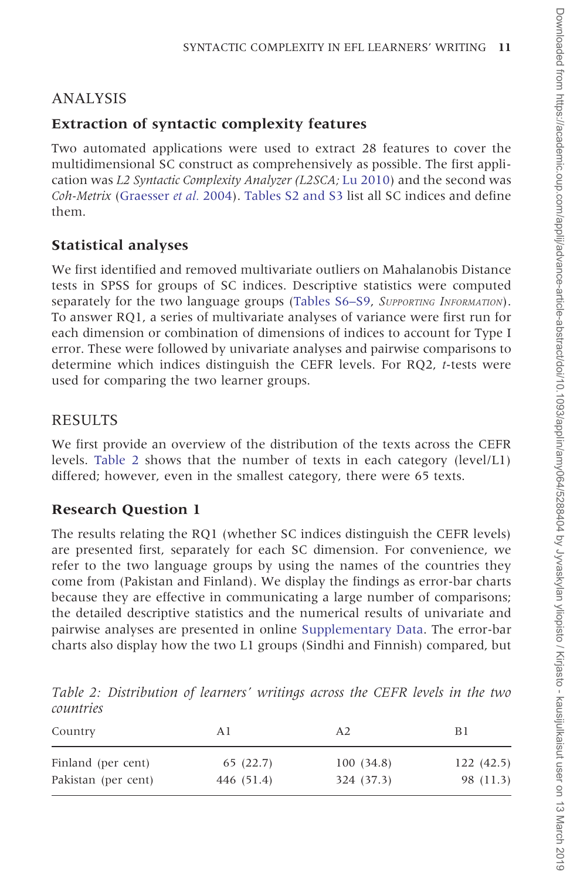## ANALYSIS

## Extraction of syntactic complexity features

Two automated applications were used to extract 28 features to cover the multidimensional SC construct as comprehensively as possible. The first application was L2 Syntactic Complexity Analyzer (L2SCA; [Lu 2010](#page-25-0)) and the second was Coh-Metrix [\(Graesser](#page-24-0) et al. 2004). [Tables S2 and S3](https://academic.oup.com/applij/article-lookup/doi/10.1093/applin/amy064#supplementary-data) list all SC indices and define them.

## Statistical analyses

We first identified and removed multivariate outliers on Mahalanobis Distance tests in SPSS for groups of SC indices. Descriptive statistics were computed separately for the two language groups [\(Tables S6–S9](https://academic.oup.com/applij/article-lookup/doi/10.1093/applin/amy064#supplementary-data), SUPPORTING INFORMATION). To answer RQ1, a series of multivariate analyses of variance were first run for each dimension or combination of dimensions of indices to account for Type I error. These were followed by univariate analyses and pairwise comparisons to determine which indices distinguish the CEFR levels. For RQ2, t-tests were used for comparing the two learner groups.

## RESULTS

We first provide an overview of the distribution of the texts across the CEFR levels. Table 2 shows that the number of texts in each category (level/L1) differed; however, even in the smallest category, there were 65 texts.

## Research Question 1

The results relating the RQ1 (whether SC indices distinguish the CEFR levels) are presented first, separately for each SC dimension. For convenience, we refer to the two language groups by using the names of the countries they come from (Pakistan and Finland). We display the findings as error-bar charts because they are effective in communicating a large number of comparisons; the detailed descriptive statistics and the numerical results of univariate and pairwise analyses are presented in online [Supplementary Data](https://academic.oup.com/applij/article-lookup/doi/10.1093/applin/amy064#supplementary-data). The error-bar charts also display how the two L1 groups (Sindhi and Finnish) compared, but

Country A1 A2 B1 Finland (per cent) 65 (22.7) 100 (34.8) 122 (42.5)

Pakistan (per cent) 446 (51.4) 324 (37.3) 98 (11.3)

Table 2: Distribution of learners' writings across the CEFR levels in the two countries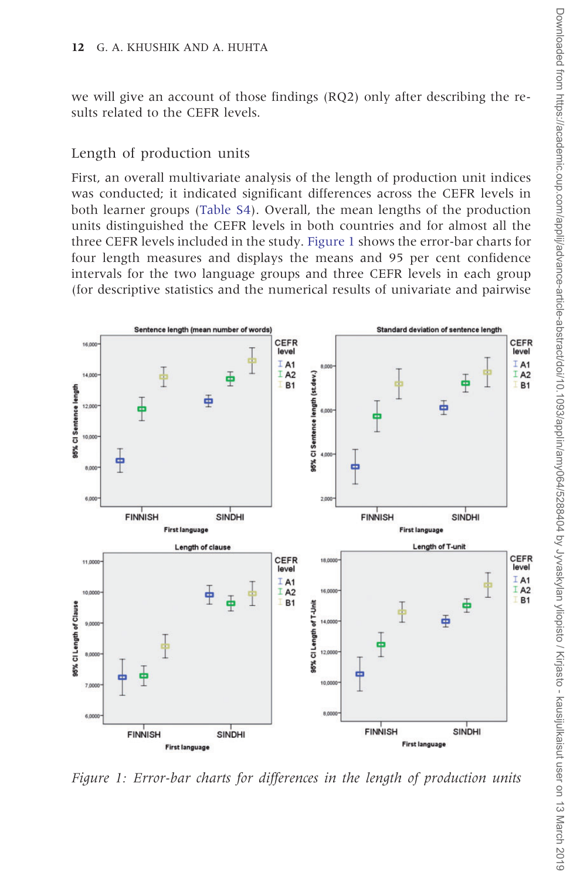<span id="page-11-0"></span>we will give an account of those findings (RQ2) only after describing the results related to the CEFR levels.

#### Length of production units

First, an overall multivariate analysis of the length of production unit indices was conducted; it indicated significant differences across the CEFR levels in both learner groups ([Table S4](https://academic.oup.com/applij/article-lookup/doi/10.1093/applin/amy064#supplementary-data)). Overall, the mean lengths of the production units distinguished the CEFR levels in both countries and for almost all the three CEFR levels included in the study. Figure 1 shows the error-bar charts for four length measures and displays the means and 95 per cent confidence intervals for the two language groups and three CEFR levels in each group (for descriptive statistics and the numerical results of univariate and pairwise



Figure 1: Error-bar charts for differences in the length of production units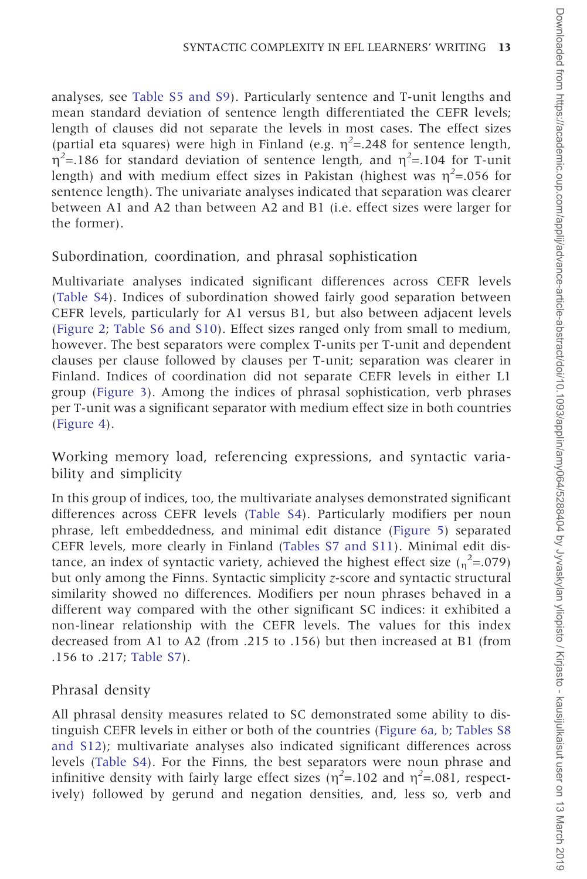analyses, see [Table S5 and S9\)](https://academic.oup.com/applij/article-lookup/doi/10.1093/applin/amy064#supplementary-data). Particularly sentence and T-unit lengths and mean standard deviation of sentence length differentiated the CEFR levels; length of clauses did not separate the levels in most cases. The effect sizes (partial eta squares) were high in Finland (e.g.  $\eta^2$ =.248 for sentence length,  $\eta^2$ =.186 for standard deviation of sentence length, and  $\eta^2$ =.104 for T-unit length) and with medium effect sizes in Pakistan (highest was  $\eta^2$ =.056 for sentence length). The univariate analyses indicated that separation was clearer between A1 and A2 than between A2 and B1 (i.e. effect sizes were larger for the former).

### Subordination, coordination, and phrasal sophistication

Multivariate analyses indicated significant differences across CEFR levels ([Table S4\)](https://academic.oup.com/applij/article-lookup/doi/10.1093/applin/amy064#supplementary-data). Indices of subordination showed fairly good separation between CEFR levels, particularly for A1 versus B1, but also between adjacent levels ([Figure 2;](#page-13-0) [Table S6 and S10\)](https://academic.oup.com/applij/article-lookup/doi/10.1093/applin/amy064#supplementary-data). Effect sizes ranged only from small to medium, however. The best separators were complex T-units per T-unit and dependent clauses per clause followed by clauses per T-unit; separation was clearer in Finland. Indices of coordination did not separate CEFR levels in either L1 group ([Figure 3\)](#page-14-0). Among the indices of phrasal sophistication, verb phrases per T-unit was a significant separator with medium effect size in both countries ([Figure 4\)](#page-15-0).

Working memory load, referencing expressions, and syntactic variability and simplicity

In this group of indices, too, the multivariate analyses demonstrated significant differences across CEFR levels ([Table S4\)](https://academic.oup.com/applij/article-lookup/doi/10.1093/applin/amy064#supplementary-data). Particularly modifiers per noun phrase, left embeddedness, and minimal edit distance [\(Figure 5\)](#page-16-0) separated CEFR levels, more clearly in Finland ([Tables S7 and S11\)](https://academic.oup.com/applij/article-lookup/doi/10.1093/applin/amy064#supplementary-data). Minimal edit distance, an index of syntactic variety, achieved the highest effect size  $\binom{2}{n}$ =.079) but only among the Finns. Syntactic simplicity z-score and syntactic structural similarity showed no differences. Modifiers per noun phrases behaved in a different way compared with the other significant SC indices: it exhibited a non-linear relationship with the CEFR levels. The values for this index decreased from A1 to A2 (from .215 to .156) but then increased at B1 (from .156 to .217; [Table S7](https://academic.oup.com/applij/article-lookup/doi/10.1093/applin/amy064#supplementary-data)).

## Phrasal density

All phrasal density measures related to SC demonstrated some ability to distinguish CEFR levels in either or both of the countries ([Figure 6a, b;](#page-17-0) [Tables S8](https://academic.oup.com/applij/article-lookup/doi/10.1093/applin/amy064#supplementary-data) [and S12\)](https://academic.oup.com/applij/article-lookup/doi/10.1093/applin/amy064#supplementary-data); multivariate analyses also indicated significant differences across levels ([Table S4\)](https://academic.oup.com/applij/article-lookup/doi/10.1093/applin/amy064#supplementary-data). For the Finns, the best separators were noun phrase and infinitive density with fairly large effect sizes ( $\eta^2$ =.102 and  $\eta^2$ =.081, respectively) followed by gerund and negation densities, and, less so, verb and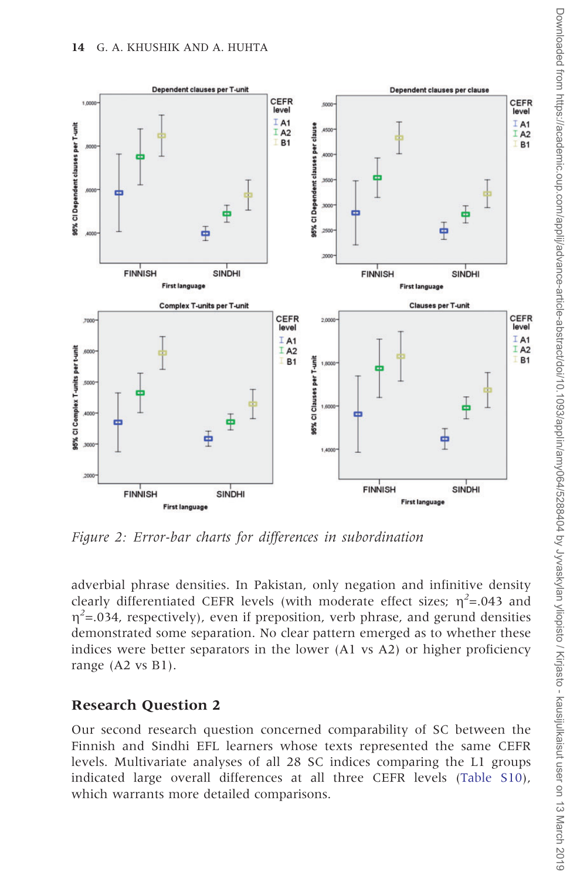<span id="page-13-0"></span>

Figure 2: Error-bar charts for differences in subordination

adverbial phrase densities. In Pakistan, only negation and infinitive density clearly differentiated CEFR levels (with moderate effect sizes;  $\eta^2$ =.043 and  $\eta^2$ =.034, respectively), even if preposition, verb phrase, and gerund densities demonstrated some separation. No clear pattern emerged as to whether these indices were better separators in the lower (A1 vs A2) or higher proficiency range (A2 vs B1).

### Research Question 2

Our second research question concerned comparability of SC between the Finnish and Sindhi EFL learners whose texts represented the same CEFR levels. Multivariate analyses of all 28 SC indices comparing the L1 groups indicated large overall differences at all three CEFR levels [\(Table S10\)](https://academic.oup.com/applij/article-lookup/doi/10.1093/applin/amy064#supplementary-data), which warrants more detailed comparisons.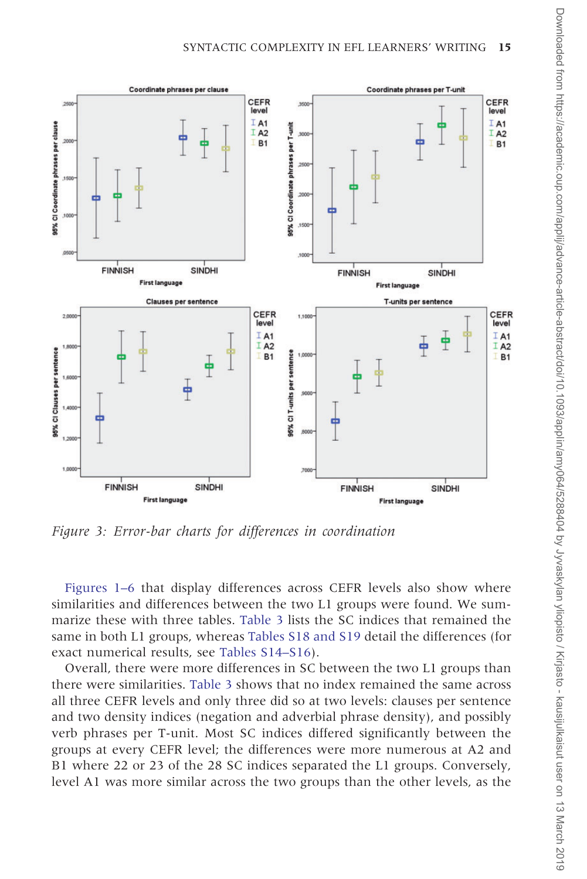<span id="page-14-0"></span>

Figure 3: Error-bar charts for differences in coordination

[Figures 1–6](#page-11-0) that display differences across CEFR levels also show where similarities and differences between the two L1 groups were found. We summarize these with three tables. [Table 3](#page-19-0) lists the SC indices that remained the same in both L1 groups, whereas [Tables S18 and S19](https://academic.oup.com/applij/article-lookup/doi/10.1093/applin/amy064#supplementary-data) detail the differences (for exact numerical results, see [Tables S14–S16](https://academic.oup.com/applij/article-lookup/doi/10.1093/applin/amy064#supplementary-data)).

Overall, there were more differences in SC between the two L1 groups than there were similarities. [Table 3](#page-19-0) shows that no index remained the same across all three CEFR levels and only three did so at two levels: clauses per sentence and two density indices (negation and adverbial phrase density), and possibly verb phrases per T-unit. Most SC indices differed significantly between the groups at every CEFR level; the differences were more numerous at A2 and B1 where 22 or 23 of the 28 SC indices separated the L1 groups. Conversely, level A1 was more similar across the two groups than the other levels, as the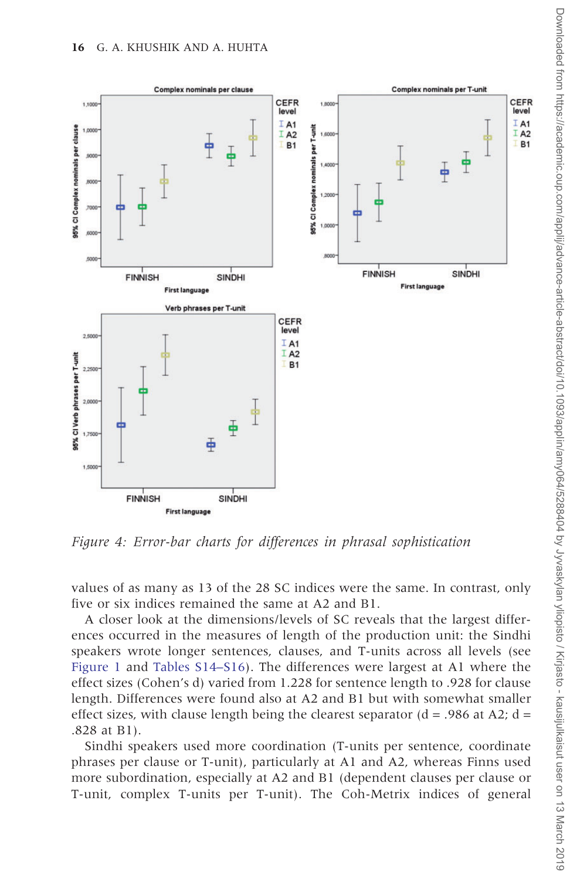<span id="page-15-0"></span>

Figure 4: Error-bar charts for differences in phrasal sophistication

values of as many as 13 of the 28 SC indices were the same. In contrast, only five or six indices remained the same at A2 and B1.

A closer look at the dimensions/levels of SC reveals that the largest differences occurred in the measures of length of the production unit: the Sindhi speakers wrote longer sentences, clauses, and T-units across all levels (see [Figure 1](#page-11-0) and [Tables S14–S16\)](https://academic.oup.com/applij/article-lookup/doi/10.1093/applin/amy064#supplementary-data). The differences were largest at A1 where the effect sizes (Cohen's d) varied from 1.228 for sentence length to .928 for clause length. Differences were found also at A2 and B1 but with somewhat smaller effect sizes, with clause length being the clearest separator ( $d = .986$  at A2;  $d =$ .828 at B1).

Sindhi speakers used more coordination (T-units per sentence, coordinate phrases per clause or T-unit), particularly at A1 and A2, whereas Finns used more subordination, especially at A2 and B1 (dependent clauses per clause or T-unit, complex T-units per T-unit). The Coh-Metrix indices of general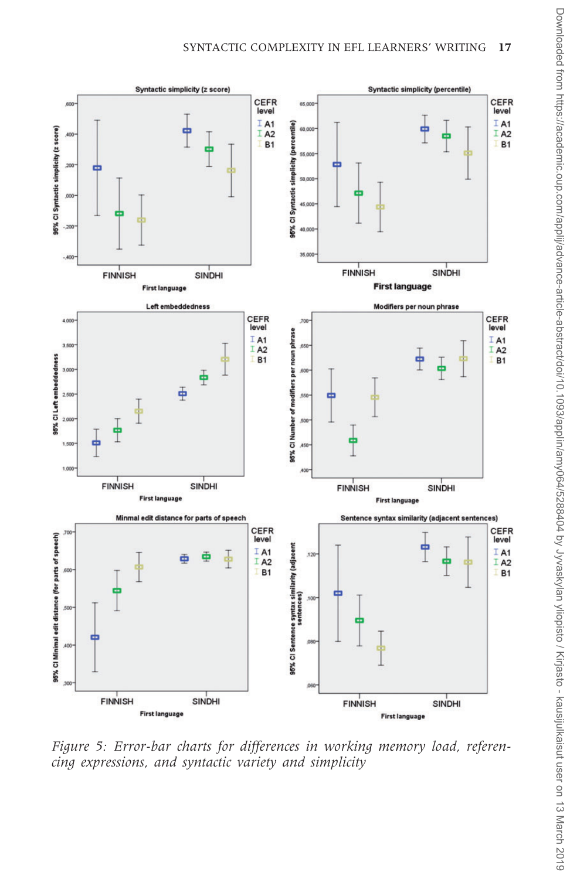<span id="page-16-0"></span>

Figure 5: Error-bar charts for differences in working memory load, referencing expressions, and syntactic variety and simplicity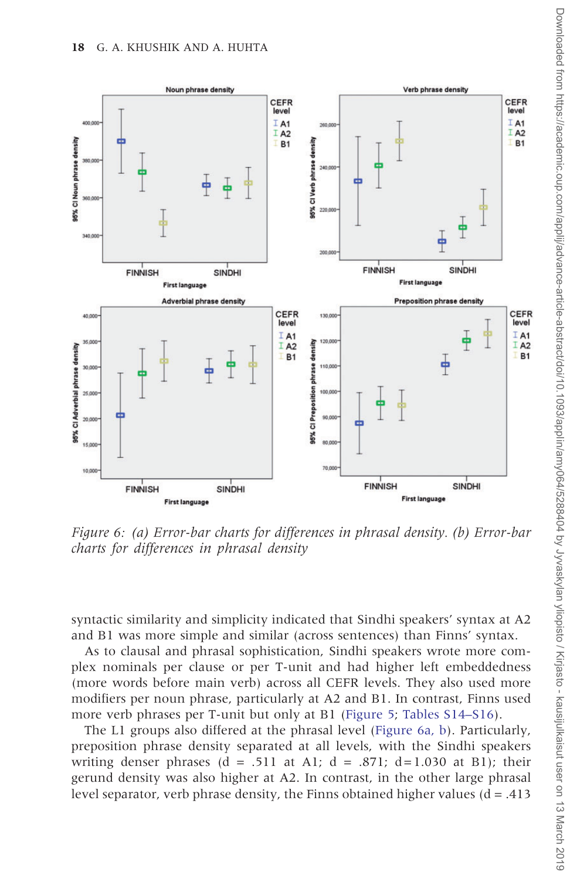<span id="page-17-0"></span>

Figure 6: (a) Error-bar charts for differences in phrasal density. (b) Error-bar charts for differences in phrasal density

syntactic similarity and simplicity indicated that Sindhi speakers' syntax at A2 and B1 was more simple and similar (across sentences) than Finns' syntax.

As to clausal and phrasal sophistication, Sindhi speakers wrote more complex nominals per clause or per T-unit and had higher left embeddedness (more words before main verb) across all CEFR levels. They also used more modifiers per noun phrase, particularly at A2 and B1. In contrast, Finns used more verb phrases per T-unit but only at B1 ([Figure 5;](#page-16-0) [Tables S14–S16](https://academic.oup.com/applij/article-lookup/doi/10.1093/applin/amy064#supplementary-data)).

The L1 groups also differed at the phrasal level (Figure 6a, b). Particularly, preposition phrase density separated at all levels, with the Sindhi speakers writing denser phrases (d = .511 at A1; d = .871; d=1.030 at B1); their gerund density was also higher at A2. In contrast, in the other large phrasal level separator, verb phrase density, the Finns obtained higher values  $(d = .413)$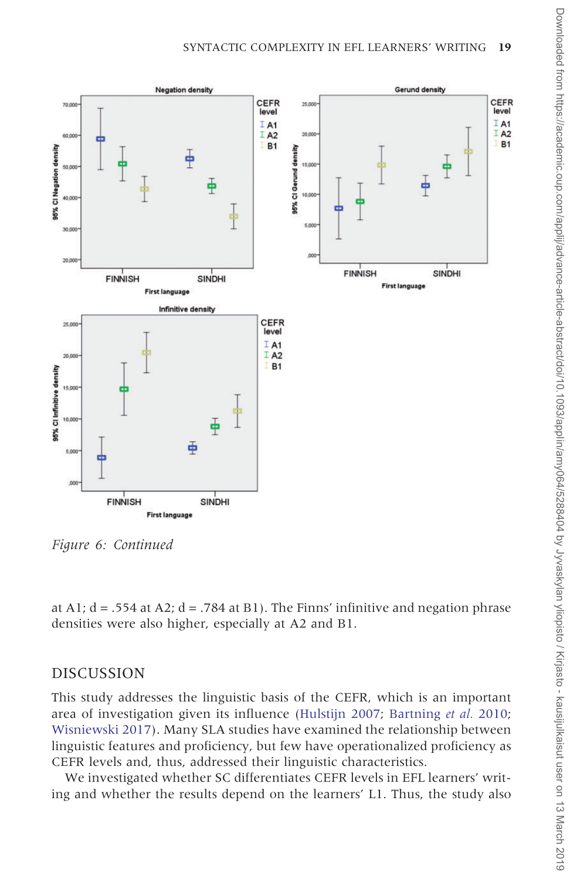

Figure 6: Continued

at A1;  $d = .554$  at A2;  $d = .784$  at B1). The Finns' infinitive and negation phrase densities were also higher, especially at A2 and B1.

## DISCUSSION

This study addresses the linguistic basis of the CEFR, which is an important area of investigation given its influence ([Hulstijn 2007;](#page-25-0) [Bartning](#page-24-0) et al. 2010; [Wisniewski 2017](#page-26-0)). Many SLA studies have examined the relationship between linguistic features and proficiency, but few have operationalized proficiency as CEFR levels and, thus, addressed their linguistic characteristics.

We investigated whether SC differentiates CEFR levels in EFL learners' writing and whether the results depend on the learners' L1. Thus, the study also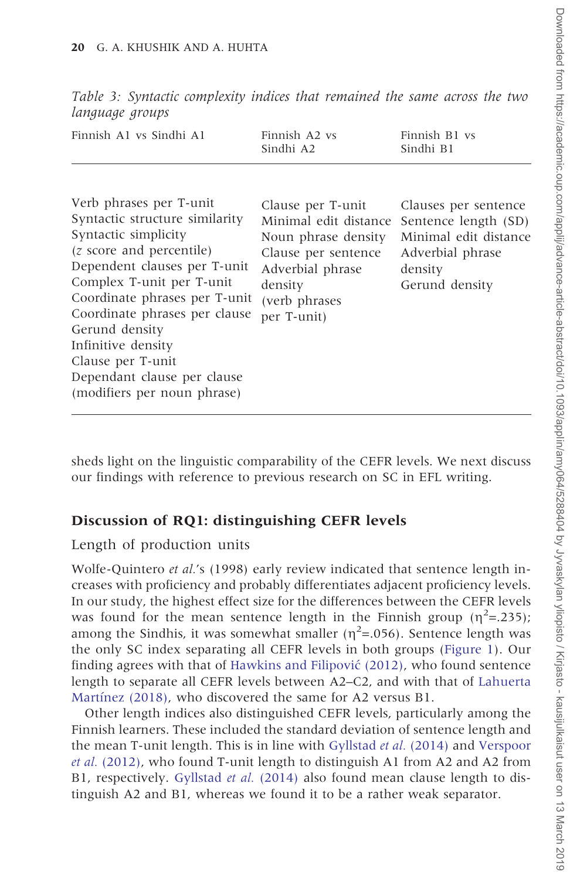| Finnish A1 vs Sindhi A1                                                                                                                                                                                                                                                                                                                                                         | Finnish A2 vs<br>Sindhi A2                                                                                                                               | Finnish B1 vs<br>Sindhi B1                                                                                             |
|---------------------------------------------------------------------------------------------------------------------------------------------------------------------------------------------------------------------------------------------------------------------------------------------------------------------------------------------------------------------------------|----------------------------------------------------------------------------------------------------------------------------------------------------------|------------------------------------------------------------------------------------------------------------------------|
| Verb phrases per T-unit<br>Syntactic structure similarity<br>Syntactic simplicity<br>( <i>z</i> score and percentile)<br>Dependent clauses per T-unit<br>Complex T-unit per T-unit<br>Coordinate phrases per T-unit<br>Coordinate phrases per clause<br>Gerund density<br>Infinitive density<br>Clause per T-unit<br>Dependant clause per clause<br>(modifiers per noun phrase) | Clause per T-unit<br>Minimal edit distance<br>Noun phrase density<br>Clause per sentence<br>Adverbial phrase<br>density<br>(verb phrases)<br>per T-unit) | Clauses per sentence<br>Sentence length (SD)<br>Minimal edit distance<br>Adverbial phrase<br>density<br>Gerund density |
|                                                                                                                                                                                                                                                                                                                                                                                 |                                                                                                                                                          |                                                                                                                        |

<span id="page-19-0"></span>Table 3: Syntactic complexity indices that remained the same across the two language groups

sheds light on the linguistic comparability of the CEFR levels. We next discuss our findings with reference to previous research on SC in EFL writing.

#### Discussion of RQ1: distinguishing CEFR levels

#### Length of production units

Wolfe-Quintero et al.'s (1998) early review indicated that sentence length increases with proficiency and probably differentiates adjacent proficiency levels. In our study, the highest effect size for the differences between the CEFR levels was found for the mean sentence length in the Finnish group  $(\eta^2=235)$ ; among the Sindhis, it was somewhat smaller ( $\eta^2$ =.056). Sentence length was the only SC index separating all CEFR levels in both groups [\(Figure 1\)](#page-11-0). Our finding agrees with that of [Hawkins and Filipovic´](#page-24-0) (2012), who found sentence length to separate all CEFR levels between A2–C2, and with that of [Lahuerta](#page-25-0) Martínez (2018), who discovered the same for A2 versus B1.

Other length indices also distinguished CEFR levels, particularly among the Finnish learners. These included the standard deviation of sentence length and the mean T-unit length. This is in line with [Gyllstad](#page-24-0) et al. (2014) and [Verspoor](#page-25-0) et al. [\(2012\)](#page-25-0), who found T-unit length to distinguish A1 from A2 and A2 from B1, respectively. [Gyllstad](#page-24-0) et al. (2014) also found mean clause length to distinguish A2 and B1, whereas we found it to be a rather weak separator.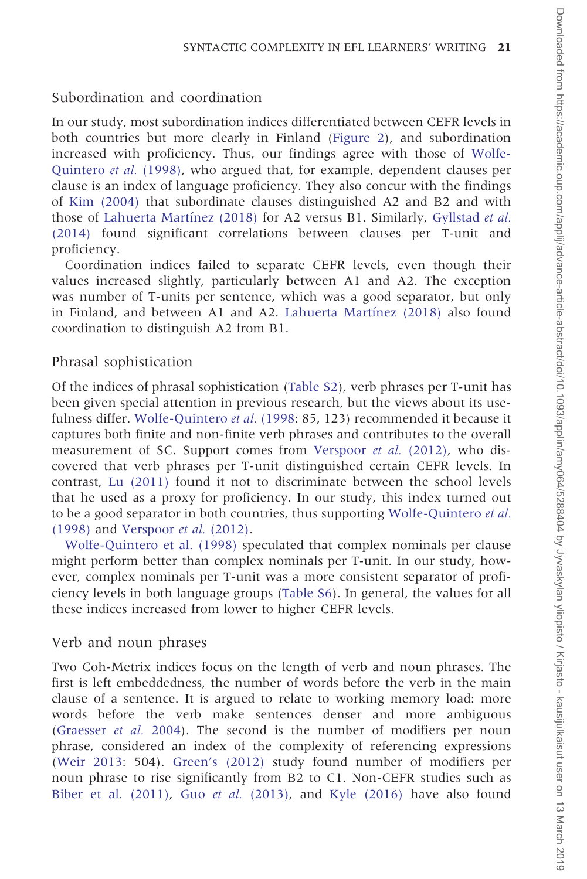### Subordination and coordination

In our study, most subordination indices differentiated between CEFR levels in both countries but more clearly in Finland ([Figure 2\)](#page-13-0), and subordination increased with proficiency. Thus, our findings agree with those of [Wolfe-](#page-26-0)[Quintero](#page-26-0) et al. (1998), who argued that, for example, dependent clauses per clause is an index of language proficiency. They also concur with the findings of [Kim \(2004\)](#page-25-0) that subordinate clauses distinguished A2 and B2 and with those of Lahuerta Martínez (2018) for A2 versus B1. Similarly, [Gyllstad](#page-24-0) et al. [\(2014\)](#page-24-0) found significant correlations between clauses per T-unit and proficiency.

Coordination indices failed to separate CEFR levels, even though their values increased slightly, particularly between A1 and A2. The exception was number of T-units per sentence, which was a good separator, but only in Finland, and between A1 and A2. Lahuerta Martínez  $(2018)$  also found coordination to distinguish A2 from B1.

#### Phrasal sophistication

Of the indices of phrasal sophistication [\(Table S2\)](https://academic.oup.com/applij/article-lookup/doi/10.1093/applin/amy064#supplementary-data), verb phrases per T-unit has been given special attention in previous research, but the views about its use-fulness differ. [Wolfe-Quintero](#page-26-0) et al. (1998: 85, 123) recommended it because it captures both finite and non-finite verb phrases and contributes to the overall measurement of SC. Support comes from [Verspoor](#page-25-0) et al. (2012), who discovered that verb phrases per T-unit distinguished certain CEFR levels. In contrast, [Lu \(2011\)](#page-25-0) found it not to discriminate between the school levels that he used as a proxy for proficiency. In our study, this index turned out to be a good separator in both countries, thus supporting [Wolfe-Quintero](#page-26-0) et al. [\(1998\)](#page-26-0) and [Verspoor](#page-25-0) et al. (2012).

[Wolfe-Quintero et al. \(1998\)](#page-26-0) speculated that complex nominals per clause might perform better than complex nominals per T-unit. In our study, however, complex nominals per T-unit was a more consistent separator of proficiency levels in both language groups ([Table S6](https://academic.oup.com/applij/article-lookup/doi/10.1093/applin/amy064#supplementary-data)). In general, the values for all these indices increased from lower to higher CEFR levels.

### Verb and noun phrases

Two Coh-Metrix indices focus on the length of verb and noun phrases. The first is left embeddedness, the number of words before the verb in the main clause of a sentence. It is argued to relate to working memory load: more words before the verb make sentences denser and more ambiguous ([Graesser](#page-24-0) et al. 2004). The second is the number of modifiers per noun phrase, considered an index of the complexity of referencing expressions ([Weir 2013](#page-25-0): 504). [Green's \(2012\)](#page-24-0) study found number of modifiers per noun phrase to rise significantly from B2 to C1. Non-CEFR studies such as Biber et al.  $(2011)$ , Guo *et al.*  $(2013)$ , and Kyle  $(2016)$  have also found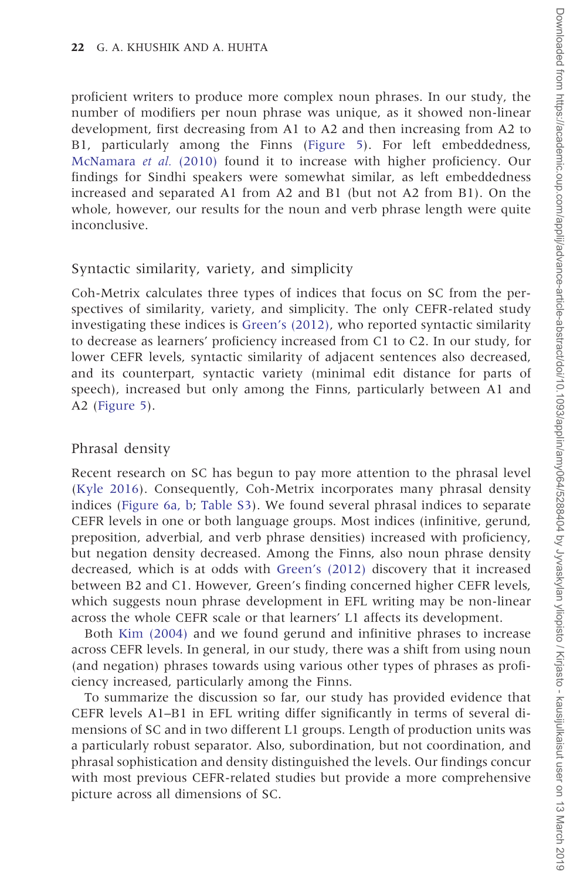proficient writers to produce more complex noun phrases. In our study, the number of modifiers per noun phrase was unique, as it showed non-linear development, first decreasing from A1 to A2 and then increasing from A2 to B1, particularly among the Finns [\(Figure 5\)](#page-16-0). For left embeddedness, [McNamara](#page-25-0) et al. (2010) found it to increase with higher proficiency. Our findings for Sindhi speakers were somewhat similar, as left embeddedness increased and separated A1 from A2 and B1 (but not A2 from B1). On the whole, however, our results for the noun and verb phrase length were quite inconclusive.

### Syntactic similarity, variety, and simplicity

Coh-Metrix calculates three types of indices that focus on SC from the perspectives of similarity, variety, and simplicity. The only CEFR-related study investigating these indices is [Green's \(2012\),](#page-24-0) who reported syntactic similarity to decrease as learners' proficiency increased from C1 to C2. In our study, for lower CEFR levels, syntactic similarity of adjacent sentences also decreased, and its counterpart, syntactic variety (minimal edit distance for parts of speech), increased but only among the Finns, particularly between A1 and A2 ([Figure 5\)](#page-16-0).

### Phrasal density

Recent research on SC has begun to pay more attention to the phrasal level ([Kyle 2016\)](#page-25-0). Consequently, Coh-Metrix incorporates many phrasal density indices ([Figure 6a, b](#page-17-0); [Table S3\)](https://academic.oup.com/applij/article-lookup/doi/10.1093/applin/amy064#supplementary-data). We found several phrasal indices to separate CEFR levels in one or both language groups. Most indices (infinitive, gerund, preposition, adverbial, and verb phrase densities) increased with proficiency, but negation density decreased. Among the Finns, also noun phrase density decreased, which is at odds with [Green's \(2012\)](#page-24-0) discovery that it increased between B2 and C1. However, Green's finding concerned higher CEFR levels, which suggests noun phrase development in EFL writing may be non-linear across the whole CEFR scale or that learners' L1 affects its development.

Both [Kim \(2004\)](#page-25-0) and we found gerund and infinitive phrases to increase across CEFR levels. In general, in our study, there was a shift from using noun (and negation) phrases towards using various other types of phrases as proficiency increased, particularly among the Finns.

To summarize the discussion so far, our study has provided evidence that CEFR levels A1–B1 in EFL writing differ significantly in terms of several dimensions of SC and in two different L1 groups. Length of production units was a particularly robust separator. Also, subordination, but not coordination, and phrasal sophistication and density distinguished the levels. Our findings concur with most previous CEFR-related studies but provide a more comprehensive picture across all dimensions of SC.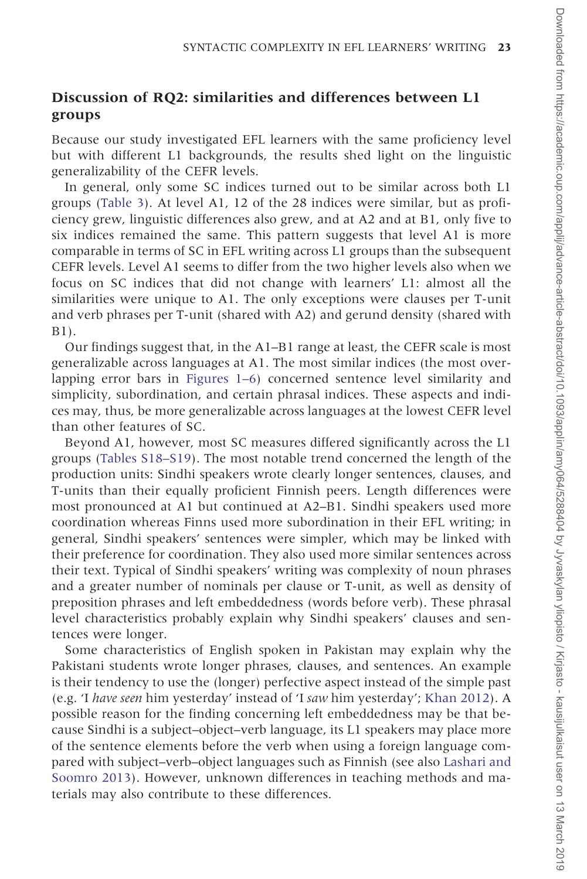Because our study investigated EFL learners with the same proficiency level but with different L1 backgrounds, the results shed light on the linguistic generalizability of the CEFR levels.

In general, only some SC indices turned out to be similar across both L1 groups ([Table 3\)](#page-19-0). At level A1, 12 of the 28 indices were similar, but as proficiency grew, linguistic differences also grew, and at A2 and at B1, only five to six indices remained the same. This pattern suggests that level A1 is more comparable in terms of SC in EFL writing across L1 groups than the subsequent CEFR levels. Level A1 seems to differ from the two higher levels also when we focus on SC indices that did not change with learners' L1: almost all the similarities were unique to A1. The only exceptions were clauses per T-unit and verb phrases per T-unit (shared with A2) and gerund density (shared with B1).

Our findings suggest that, in the A1–B1 range at least, the CEFR scale is most generalizable across languages at A1. The most similar indices (the most overlapping error bars in [Figures 1–6](#page-11-0)) concerned sentence level similarity and simplicity, subordination, and certain phrasal indices. These aspects and indices may, thus, be more generalizable across languages at the lowest CEFR level than other features of SC.

Beyond A1, however, most SC measures differed significantly across the L1 groups ([Tables S18–S19](https://academic.oup.com/applij/article-lookup/doi/10.1093/applin/amy064#supplementary-data)). The most notable trend concerned the length of the production units: Sindhi speakers wrote clearly longer sentences, clauses, and T-units than their equally proficient Finnish peers. Length differences were most pronounced at A1 but continued at A2–B1. Sindhi speakers used more coordination whereas Finns used more subordination in their EFL writing; in general, Sindhi speakers' sentences were simpler, which may be linked with their preference for coordination. They also used more similar sentences across their text. Typical of Sindhi speakers' writing was complexity of noun phrases and a greater number of nominals per clause or T-unit, as well as density of preposition phrases and left embeddedness (words before verb). These phrasal level characteristics probably explain why Sindhi speakers' clauses and sentences were longer.

Some characteristics of English spoken in Pakistan may explain why the Pakistani students wrote longer phrases, clauses, and sentences. An example is their tendency to use the (longer) perfective aspect instead of the simple past (e.g. 'I have seen him yesterday' instead of 'I saw him yesterday'; [Khan 2012](#page-25-0)). A possible reason for the finding concerning left embeddedness may be that because Sindhi is a subject–object–verb language, its L1 speakers may place more of the sentence elements before the verb when using a foreign language compared with subject–verb–object languages such as Finnish (see also [Lashari and](#page-25-0) [Soomro 2013\)](#page-25-0). However, unknown differences in teaching methods and materials may also contribute to these differences.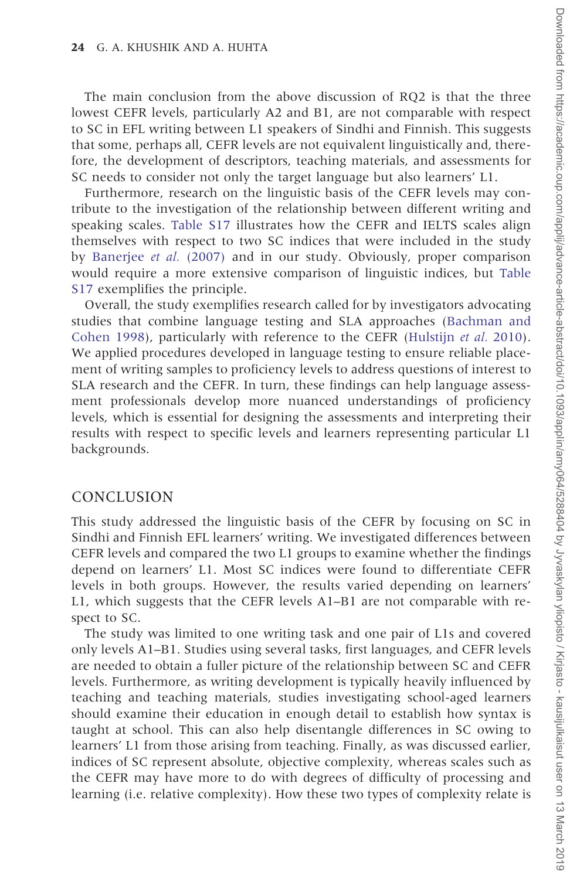The main conclusion from the above discussion of RQ2 is that the three lowest CEFR levels, particularly A2 and B1, are not comparable with respect to SC in EFL writing between L1 speakers of Sindhi and Finnish. This suggests that some, perhaps all, CEFR levels are not equivalent linguistically and, therefore, the development of descriptors, teaching materials, and assessments for SC needs to consider not only the target language but also learners' L1.

Furthermore, research on the linguistic basis of the CEFR levels may contribute to the investigation of the relationship between different writing and speaking scales. [Table S17](https://academic.oup.com/applij/article-lookup/doi/10.1093/applin/amy064#supplementary-data) illustrates how the CEFR and IELTS scales align themselves with respect to two SC indices that were included in the study by [Banerjee](#page-24-0) et al. (2007) and in our study. Obviously, proper comparison would require a more extensive comparison of linguistic indices, but [Table](https://academic.oup.com/applij/article-lookup/doi/10.1093/applin/amy064#supplementary-data) [S17](https://academic.oup.com/applij/article-lookup/doi/10.1093/applin/amy064#supplementary-data) exemplifies the principle.

Overall, the study exemplifies research called for by investigators advocating studies that combine language testing and SLA approaches ([Bachman and](#page-24-0) [Cohen 1998](#page-24-0)), particularly with reference to the CEFR [\(Hulstijn](#page-25-0) et al. 2010). We applied procedures developed in language testing to ensure reliable placement of writing samples to proficiency levels to address questions of interest to SLA research and the CEFR. In turn, these findings can help language assessment professionals develop more nuanced understandings of proficiency levels, which is essential for designing the assessments and interpreting their results with respect to specific levels and learners representing particular L1 backgrounds.

#### CONCLUSION

This study addressed the linguistic basis of the CEFR by focusing on SC in Sindhi and Finnish EFL learners' writing. We investigated differences between CEFR levels and compared the two L1 groups to examine whether the findings depend on learners' L1. Most SC indices were found to differentiate CEFR levels in both groups. However, the results varied depending on learners' L1, which suggests that the CEFR levels A1–B1 are not comparable with respect to SC.

The study was limited to one writing task and one pair of L1s and covered only levels A1–B1. Studies using several tasks, first languages, and CEFR levels are needed to obtain a fuller picture of the relationship between SC and CEFR levels. Furthermore, as writing development is typically heavily influenced by teaching and teaching materials, studies investigating school-aged learners should examine their education in enough detail to establish how syntax is taught at school. This can also help disentangle differences in SC owing to learners' L1 from those arising from teaching. Finally, as was discussed earlier, indices of SC represent absolute, objective complexity, whereas scales such as the CEFR may have more to do with degrees of difficulty of processing and learning (i.e. relative complexity). How these two types of complexity relate is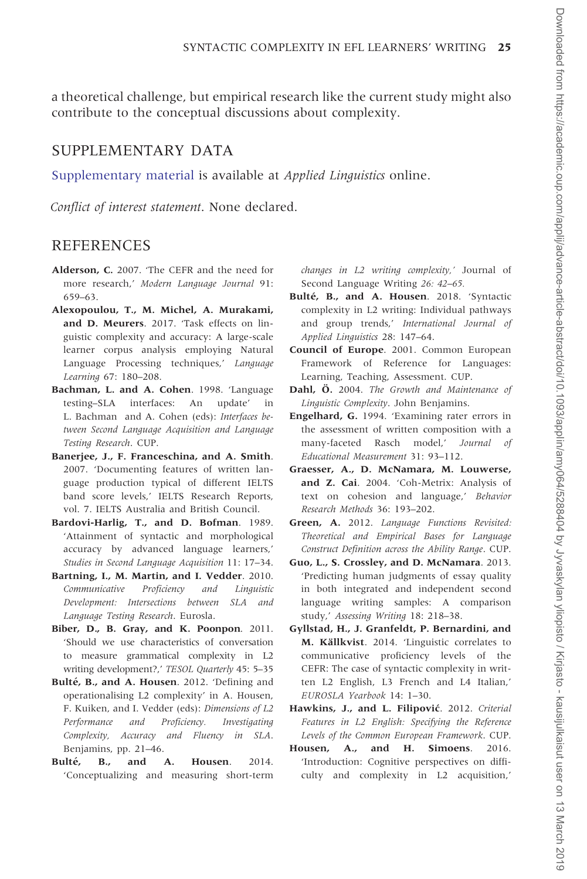<span id="page-24-0"></span>a theoretical challenge, but empirical research like the current study might also contribute to the conceptual discussions about complexity.

#### SUPPLEMENTARY DATA

[Supplementary material](https://academic.oup.com/applij/article-lookup/doi/10.1093/applin/amy064#supplementary-data) is available at Applied Linguistics online.

Conflict of interest statement. None declared.

#### **REFERENCES**

- Alderson, C. 2007. 'The CEFR and the need for more research,' Modern Language Journal 91: 659–63.
- Alexopoulou, T., M. Michel, A. Murakami, and D. Meurers. 2017. 'Task effects on linguistic complexity and accuracy: A large-scale learner corpus analysis employing Natural Language Processing techniques,' Language Learning 67: 180–208.
- Bachman, L. and A. Cohen. 1998. 'Language testing–SLA interfaces: An update' in L. Bachman and A. Cohen (eds): Interfaces between Second Language Acquisition and Language Testing Research. CUP.
- Banerjee, J., F. Franceschina, and A. Smith. 2007. 'Documenting features of written language production typical of different IELTS band score levels,' IELTS Research Reports, vol. 7. IELTS Australia and British Council.
- Bardovi-Harlig, T., and D. Bofman. 1989. 'Attainment of syntactic and morphological accuracy by advanced language learners,' Studies in Second Language Acquisition 11: 17–34.
- Bartning, I., M. Martin, and I. Vedder. 2010. Communicative Proficiency and Linguistic Development: Intersections between SLA and Language Testing Research. Eurosla.
- Biber, D., B. Gray, and K. Poonpon. 2011. 'Should we use characteristics of conversation to measure grammatical complexity in L2 writing development?,' TESOL Quarterly 45: 5–35
- Bulté, B., and A. Housen. 2012. 'Defining and operationalising L2 complexity' in A. Housen, F. Kuiken, and I. Vedder (eds): Dimensions of L2 Performance and Proficiency. Investigating Complexity, Accuracy and Fluency in SLA. Benjamins, pp. 21–46.
- Bulté, B., and A. Housen. 2014. 'Conceptualizing and measuring short-term

changes in L2 writing complexity,' Journal of Second Language Writing 26: 42–65.

- Bulté, B., and A. Housen. 2018. 'Syntactic complexity in L2 writing: Individual pathways and group trends,' International Journal of Applied Linguistics 28: 147–64.
- Council of Europe. 2001. Common European Framework of Reference for Languages: Learning, Teaching, Assessment. CUP.
- Dahl. Ö. 2004. The Growth and Maintenance of Linguistic Complexity. John Benjamins.
- Engelhard, G. 1994. 'Examining rater errors in the assessment of written composition with a many-faceted Rasch model.' Journal of Educational Measurement 31: 93–112.
- Graesser, A., D. McNamara, M. Louwerse, and Z. Cai. 2004. 'Coh-Metrix: Analysis of text on cohesion and language,' Behavior Research Methods 36: 193–202.
- Green, A. 2012. Language Functions Revisited: Theoretical and Empirical Bases for Language Construct Definition across the Ability Range. CUP.
- Guo, L., S. Crossley, and D. McNamara. 2013. 'Predicting human judgments of essay quality in both integrated and independent second language writing samples: A comparison study,' Assessing Writing 18: 218–38.
- Gyllstad, H., J. Granfeldt, P. Bernardini, and M. Källkvist. 2014. 'Linguistic correlates to communicative proficiency levels of the CEFR: The case of syntactic complexity in written L2 English, L3 French and L4 Italian,' EUROSLA Yearbook 14: 1–30.
- Hawkins, J., and L. Filipović. 2012. Criterial Features in L2 English: Specifying the Reference Levels of the Common European Framework. CUP.
- Housen, A., and H. Simoens. 2016. 'Introduction: Cognitive perspectives on difficulty and complexity in L2 acquisition,'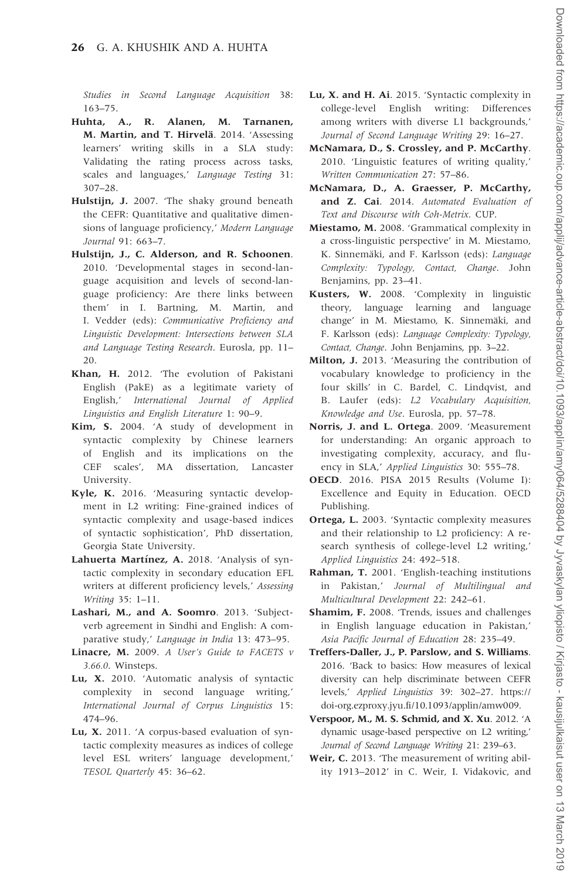<span id="page-25-0"></span>Studies in Second Language Acquisition 38: 163–75.

- Huhta, A., R. Alanen, M. Tarnanen, M. Martin, and T. Hirvelä. 2014. 'Assessing learners' writing skills in a SLA study: Validating the rating process across tasks, scales and languages,' Language Testing 31: 307–28.
- Hulstijn, J. 2007. 'The shaky ground beneath the CEFR: Quantitative and qualitative dimensions of language proficiency,' Modern Language Journal 91: 663–7.
- Hulstijn, J., C. Alderson, and R. Schoonen. 2010. 'Developmental stages in second-language acquisition and levels of second-language proficiency: Are there links between them' in I. Bartning, M. Martin, and I. Vedder (eds): Communicative Proficiency and Linguistic Development: Intersections between SLA and Language Testing Research. Eurosla, pp. 11–  $20<sup>2</sup>$
- Khan, H. 2012. 'The evolution of Pakistani English (PakE) as a legitimate variety of English,' International Journal of Applied Linguistics and English Literature 1: 90–9.
- Kim, S. 2004. 'A study of development in syntactic complexity by Chinese learners of English and its implications on the CEF scales', MA dissertation, Lancaster University.
- Kyle, K. 2016. 'Measuring syntactic development in L2 writing: Fine-grained indices of syntactic complexity and usage-based indices of syntactic sophistication', PhD dissertation, Georgia State University.
- Lahuerta Martínez, A. 2018. 'Analysis of syntactic complexity in secondary education EFL writers at different proficiency levels,' Assessing Writing 35: 1–11.
- Lashari, M., and A. Soomro. 2013. 'Subjectverb agreement in Sindhi and English: A comparative study,' Language in India 13: 473-95.
- Linacre, M. 2009. A User's Guide to FACETS v 3.66.0. Winsteps.
- Lu, X. 2010. 'Automatic analysis of syntactic complexity in second language writing,' International Journal of Corpus Linguistics 15: 474–96.
- Lu, X. 2011. 'A corpus-based evaluation of syntactic complexity measures as indices of college level ESL writers' language development,' TESOL Quarterly 45: 36–62.
- Lu, X. and H. Ai. 2015. 'Syntactic complexity in college-level English writing: Differences among writers with diverse L1 backgrounds,' Journal of Second Language Writing 29: 16–27.
- McNamara, D., S. Crossley, and P. McCarthy. 2010. 'Linguistic features of writing quality,' Written Communication 27: 57–86.
- McNamara, D., A. Graesser, P. McCarthy, and Z. Cai. 2014. Automated Evaluation of Text and Discourse with Coh-Metrix. CUP.
- Miestamo, M. 2008. 'Grammatical complexity in a cross-linguistic perspective' in M. Miestamo, K. Sinnemäki, and F. Karlsson (eds): Language Complexity: Typology, Contact, Change. John Benjamins, pp. 23–41.
- Kusters, W. 2008. 'Complexity in linguistic theory, language learning and language change' in M. Miestamo, K. Sinnemäki, and F. Karlsson (eds): Language Complexity: Typology, Contact, Change. John Benjamins, pp. 3–22.
- Milton, J. 2013. 'Measuring the contribution of vocabulary knowledge to proficiency in the four skills' in C. Bardel, C. Lindqvist, and B. Laufer (eds): L2 Vocabulary Acquisition, Knowledge and Use. Eurosla, pp. 57–78.
- Norris, J. and L. Ortega. 2009. 'Measurement for understanding: An organic approach to investigating complexity, accuracy, and fluency in SLA,' Applied Linguistics 30: 555–78.
- OECD. 2016. PISA 2015 Results (Volume I): Excellence and Equity in Education. OECD Publishing.
- Ortega, L. 2003. 'Syntactic complexity measures and their relationship to L2 proficiency: A research synthesis of college-level L2 writing,' Applied Linguistics 24: 492–518.
- Rahman, T. 2001. 'English-teaching institutions in Pakistan,' Journal of Multilingual and Multicultural Development 22: 242–61.
- Shamim, F. 2008. 'Trends, issues and challenges in English language education in Pakistan,' Asia Pacific Journal of Education 28: 235–49.
- Treffers-Daller, J., P. Parslow, and S. Williams. 2016. 'Back to basics: How measures of lexical diversity can help discriminate between CEFR levels,' Applied Linguistics 39: 302–27. [https://](https://doi-org.ezproxy.jyu.fi/10.1093/applin/amw009) [doi-org.ezproxy.jyu.fi/10.1093/applin/amw009](https://doi-org.ezproxy.jyu.fi/10.1093/applin/amw009).
- Verspoor, M., M. S. Schmid, and X. Xu. 2012. 'A dynamic usage-based perspective on L2 writing,' Journal of Second Language Writing 21: 239–63.
- Weir, C. 2013. 'The measurement of writing ability 1913–2012' in C. Weir, I. Vidakovic, and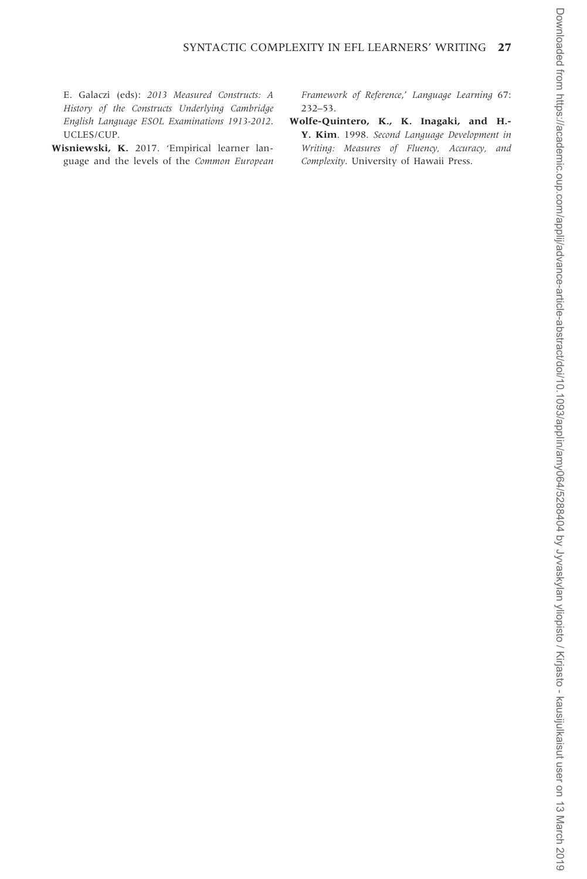<span id="page-26-0"></span>E. Galaczi (eds): 2013 Measured Constructs: A History of the Constructs Underlying Cambridge English Language ESOL Examinations 1913-2012. UCLES/CUP.

Wisniewski, K. 2017. 'Empirical learner language and the levels of the Common European Framework of Reference,' Language Learning 67: 232–53.

Wolfe-Quintero, K., K. Inagaki, and H.- Y. Kim. 1998. Second Language Development in Writing: Measures of Fluency, Accuracy, and Complexity. University of Hawaii Press.